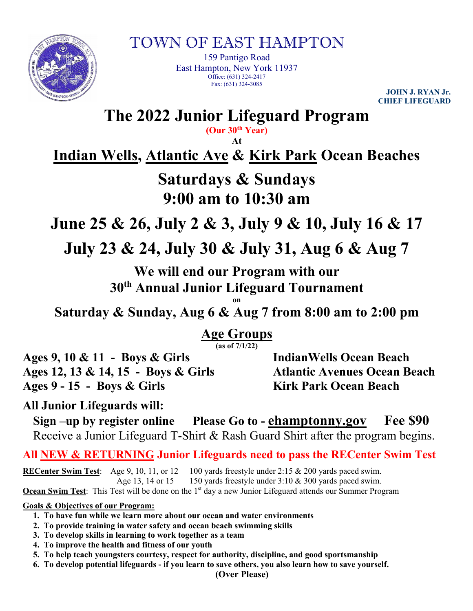

TOWN OF EAST HAMPTON

159 Pantigo Road East Hampton, New York 11937 Office: (631) 324-2417 Fax: (631) 324-3085

**JOHN J. RYAN Jr. CHIEF LIFEGUARD**

**The 2022 Junior Lifeguard Program (Our 30th Year)**

**At**

**Indian Wells, Atlantic Ave & Kirk Park Ocean Beaches**

## **Saturdays & Sundays 9:00 am to 10:30 am**

**June 25 & 26, July 2 & 3, July 9 & 10, July 16 & 17**

**July 23 & 24, July 30 & July 31, Aug 6 & Aug 7**

**We will end our Program with our 30th Annual Junior Lifeguard Tournament**

**on Saturday & Sunday, Aug 6 & Aug 7 from 8:00 am to 2:00 pm**

**Age Groups**

**(as of 7/1/22)**

**Ages 9, 10 & 11 - Boys & Girls IndianWells Ocean Beach Ages 12, 13 & 14, 15 - Boys & Girls Atlantic Avenues Ocean Beach Ages 9 - 15 - Boys & Girls Kirk Park Ocean Beach**

**All Junior Lifeguards will:**

**Sign –up by register online Please Go to - ehamptonny.gov Fee \$90** Receive a Junior Lifeguard T-Shirt & Rash Guard Shirt after the program begins.

**All NEW & RETURNING Junior Lifeguards need to pass the RECenter Swim Test**

**RECenter Swim Test**: Age 9, 10, 11, or 12 100 yards freestyle under 2:15 & 200 yards paced swim. Age 13, 14 or 15 150 yards freestyle under  $3:10 \& 300$  yards paced swim.

**Ocean Swim Test:** This Test will be done on the 1<sup>st</sup> day a new Junior Lifeguard attends our Summer Program

**Goals & Objectives of our Program:**

- **1. To have fun while we learn more about our ocean and water environments**
- **2. To provide training in water safety and ocean beach swimming skills**
- **3. To develop skills in learning to work together as a team**
- **4. To improve the health and fitness of our youth**
- **5. To help teach youngsters courtesy, respect for authority, discipline, and good sportsmanship**
- **6. To develop potential lifeguards - if you learn to save others, you also learn how to save yourself.**

**(Over Please)**